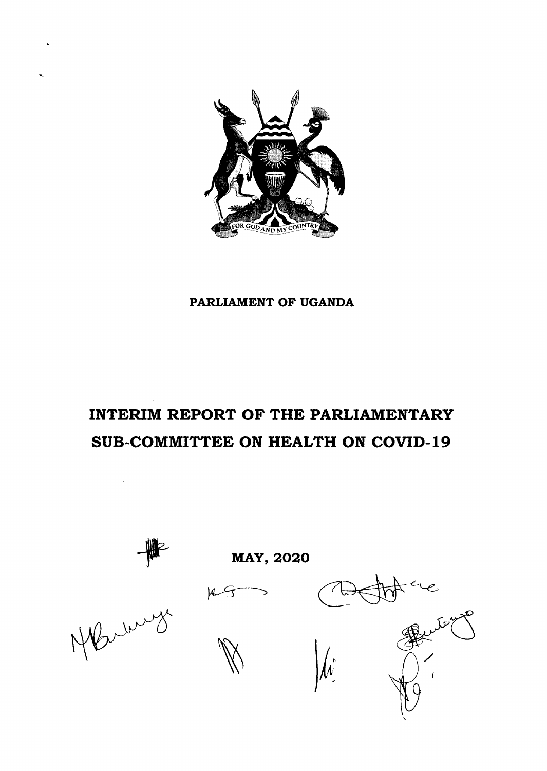

# PARLIAMENT OF UGANDA

# INTERIM REPORT OF THE PARLIAMENTARY SUB-COMMITTEE ON HEALTH ON COVID-l9

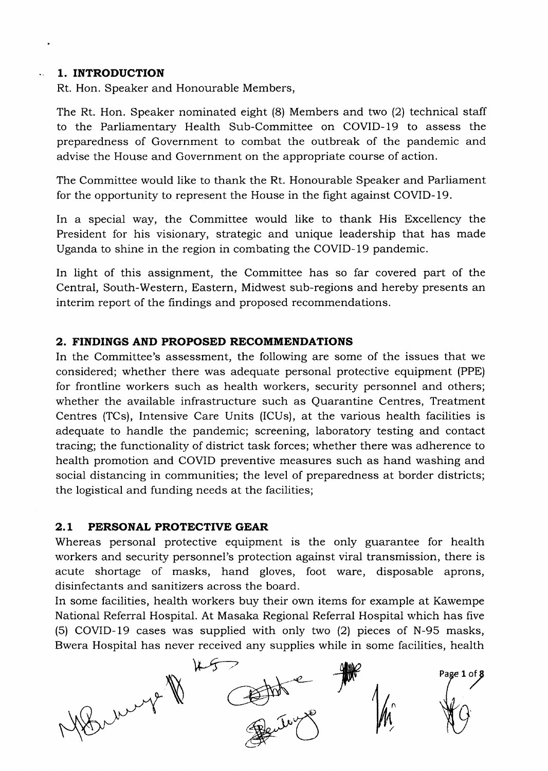#### 1. INTRODUCTION  $\mathbf{L}^{\text{max}}$

Rt. Hon. Speaker and Honourable Members,

The Rt. Hon. Speaker nominated eight (8) Members and two (2) technical staff to the Parliamentary Health Sub-Committee on COVID-19 to assess the preparedness of Government to combat the outbreak of the pandemic and advise the House and Government on the appropriate course of action.

The Committee would like to thank the Rt. Honourable Speaker and Parliament for the opportunity to represent the House in the fight against COVID-19.

In a special way, the Committee would like to thank His Excellency the President for his visionary, strategic and unique leadership that has made Uganda to shine in the region in combating the COVID-19 pandemic.

In light of this assignment, the Committee has so far covered part of the Central, South-Western, Eastern, Midwest sub-regions and hereby presents an interim report of the findings and proposed recommendations.

### 2. FINDINGS AND PROPOSED RECOMMENDATIONS

In the Committee's assessment, the following are some of the issues that we considered; whether there was adequate personal protective equipment (PPE) for frontline workers such as health workers, security personnel and others; whether the available infrastructure such as Quarantine Centres, Treatment Centres (TCs), Intensive Care Units (ICUs), at the various health facilities is adequate to handle the pandemic; screening, laboratory testing and contact tracing; the functionality of district task forces; whether there was adherence to health promotion and COVID preventive measures such as hand washing and social distancing in communities; the level of preparedness at border districts; the logistical and funding needs at the facilities;

#### 2.L PERSONAL PROTECTIVE GEAR

Whereas personal protective equipment is the only guarantee for health workers and security personnel's protection against viral transmission, there is acute shortage of masks, hand gloves, foot ware, disposable aprons, disinfectants and sanitizers across the board.

In some facilities, health workers buy their own items for example at Kawempe National Referral Hospital. At Masaka Regional Referral Hospital which has five (5) COVID-l9 cases was supplied with only two (2) pieces of N-95 masks, Bwera Hospital has never received any supplies while in some facilities, health

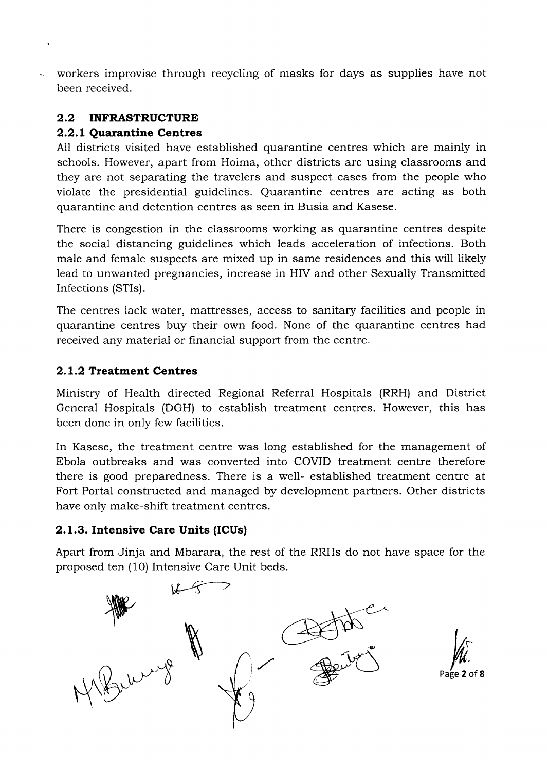workers improvise through recycling of masks for days as supplies have not been received.

# 2.2 INFRASTRUCTURE

# 2.2.1 Quarantine Centres

A11 districts visited have established quarantine centres which are mainly in schools. However, apart from Hoima, other districts are using classrooms and they are not separating the travelers and suspect cases from the people who violate the presidential guidelines. Quarantine centres are acting as both quarantine and detention centres as seen in Busia and Kasese.

There is congestion in the classrooms working as quarantine centres despite the social distancing guidelines which leads acceleration of infections. Both male and female suspects are mixed up in same residences and this will likely lead to unwanted pregnancies, increase in HIV and other Sexually Transmitted Infections (STIs).

The centres iack water, mattresses, access to sanitary facilities and people in quarantine centres buy their own food. None of the quarantine centres had received any material or financial support from the centre.

# 2.1.2 Treatment Centres

Ministry of Health directed Regional Referral Hospitals (RRH) and District General Hospitals (DGH) to establish treatment centres. However, this has been done in only few facilities.

In Kasese, the treatment centre was long established for the management of Ebola outbreaks and was converted into COVID treatment centre therefore there is good preparedness. There is a well- established treatment centre at Fort Portal constructed and managed by development partners. Other districts have only make-shift treatment centres.

# 2.l.3.Intensive Care Units (ICUs|

Apart from Jinja and Mbarara, the rest of the RRHs do not have space for the proposed ten (1O) Intensive Care Unit beds.



Page  $2$  of  $8$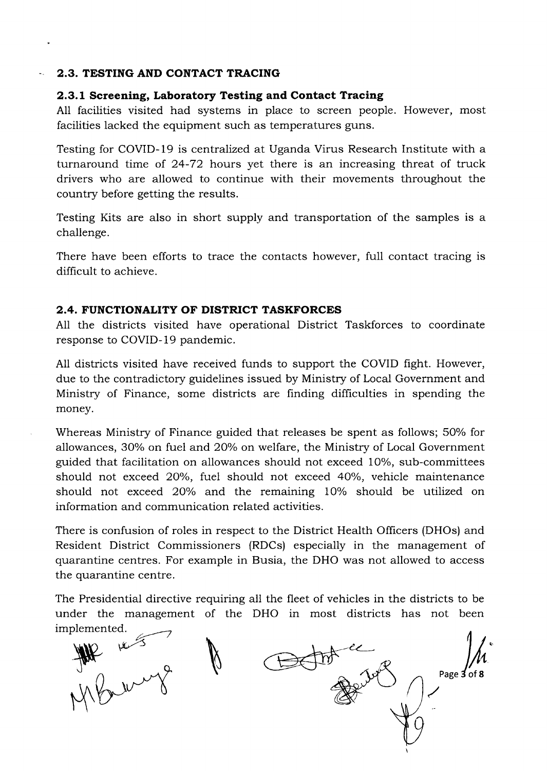#### 2.3. TESTING AND CONTACT TRACING

#### 2.3.l Screening, Laboratory Testing and Contact Tracing

A11 facilities visited had systems in place to screen people. However, most facilities lacked the equipment such as temperatures guns.

Testing for COVID-19 is centralized at Uganda Virus Research Institute with a turnaround time of 24-72 hours yet there is an increasing threat of truck drivers who are allowed to continue with their movements throughout the country before getting the results.

Testing Kits are also in short supply and transportation of the samples is a challenge.

There have been efforts to trace the contacts however, full contact tracing is difficult to achieve.

### 2.4. FUNCTIONALITY OF DISTRICT TASKFORCES

All the districts visited have operational District Taskforces to coordinate response to COVID-19 pandemic.

A11 districts visited have received funds to support the COVID fight. However, due to the contradictory guidelines issued by Ministry of Local Government and Ministry of Finance, some districts are finding difficulties in spending the money.

Whereas Ministry of Finance guided that releases be spent as follows; 50% for allowances, 30% on fuel and 20% on welfare, the Ministry of Local Government guided that facilitation on allowances should not exceed 10%, sub-committees should not exceed 20%, fuel should not exceed 40%, vehicle maintenance should not exceed 20% and the remaining 10% should be utilized on information and communication related activities.

There is confusion of roles in respect to the District Health Officers (DHOs) and Resident District Commissioners (RDCs) especially in the management of quarantine centres. For example in Busia, the DHO was not allowed to access the quarantine centre.

The Presidential directive requiring all the fleet of vehicles in the districts to be under the management of the DHO in most districts has not been implemented

(1 $\frac{1}{2}$ Beth do Page 3 of 8  $M_{\rm \prime}$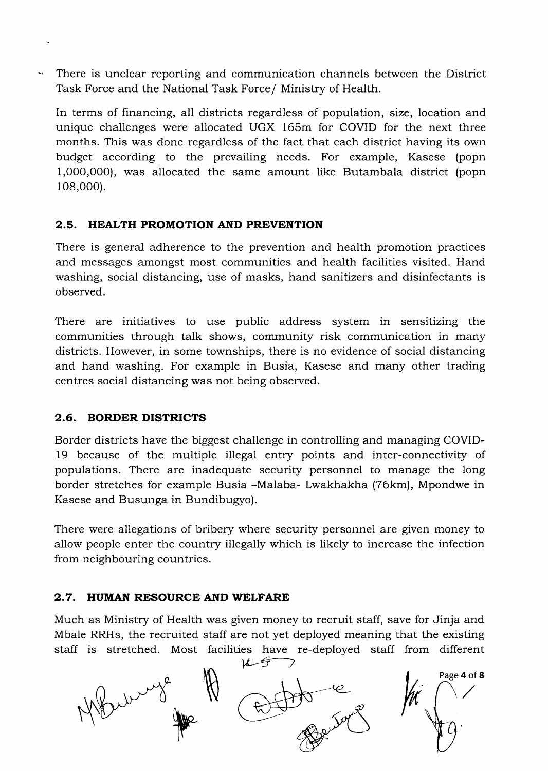There is unclear reporting and communication channels between the District  $\mathbf{w}_\mathbf{a}$  . Task Force and the National Task Force/ Ministry of Health.

In terms of financing, all districts regardless of population, size, location and unique challenges were allocated UGX 165m for COVID for the next three months. This was done regardless of the fact that each district having its own budget according to the prevailing needs. For example, Kasese (popn 1,000,000), was allocated the same amount like Butambala district (popn 108,000).

# 2,5. HEALTH PROMOTION AND PREVENTION

There is general adherence to the prevention and health promotion practices and messages amongst most communities and health facilities visited. Hand washing, social distancing, use of masks, hand sanitizers and disinfectants is observed.

There are initiatives to use public address system in sensitizing the communities through talk shows, community risk communication in many districts. However, in some townships, there is no evidence of social distancing and hand washing. For example in Busia, Kasese and many other trading centres social distancing was not being observed.

### 2.6. BORDER DISTRICTS

Border districts have the biggest challenge in controlling and managing COVID-19 because of the multiple illegal entry points and inter-connectivity of populations. There are inadequate security personnel to manage the long border stretches for example Busia -Malaba- Lwakhakha (76km), Mpondwe in Kasese and Busunga in Bundibugyo).

There were allegations of bribery where security personnel are given money to allow people enter the country illegally which is likely to increase the infection from neighbouring countries.

### 2.7. HUMAN RESOURCE AND WELFARE

Much as Ministry of Health was given money to recruit staff, save for Jinja and Mbale RRHs, the recruited staff are not yet deployed meaning that the existing staff is stretched. Most facilities have re-deployed staff from different

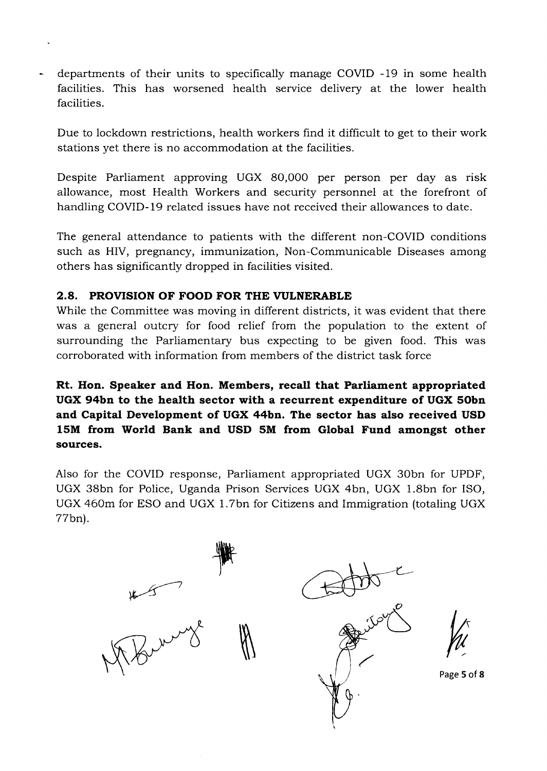departments of their units to specifically manage COVID -19 in some health facilities. This has worsened health service delivery at the lower health facilities.

Due to lockdown restrictions, health workers find it difficult to get to their work stations yet there is no accommodation at the facilities.

Despite Parliament approving UGX 80,000 per person per day as risk allowance, most Health Workers and security personnel at the forefront of handling COVID-19 related issues have not received their allowances to date.

The general attendance to patients with the different non-COVID conditions such as HIV, pregnancy, immunization, Non-Communicable Diseases among others has significantly dropped in facilities visited.

# 2.8. PROVISION OF FOOD FOR THE VULNERABLE

While the Committee was moving in different districts, it was evident that there was a general outcry for food relief from the population to the extent of surrounding the Parliamentary bus expecting to be given food. This was corroborated with information from members of the district task force

# Rt. Hon. Speaker and Hon. Members, recall that Parliament appropriated UGX 94bn to the health sector with a recurrent expenditure of UGX Sobn and Capital Development of UGX 44bn. The sector has also received USD 15M from World Bank and USD 5M from Global Fund amongst other sources.

Also for the COVID response, Parliament appropriated UGX 30bn for UPDF, UGX 38bn for Police, Uganda Prison Services UGX 4bn, UGX 1.8bn for ISO, UGX 46Om for ESO and UGX 1.7bn for Cittzens and Immigration (totaling UGX 77bn).

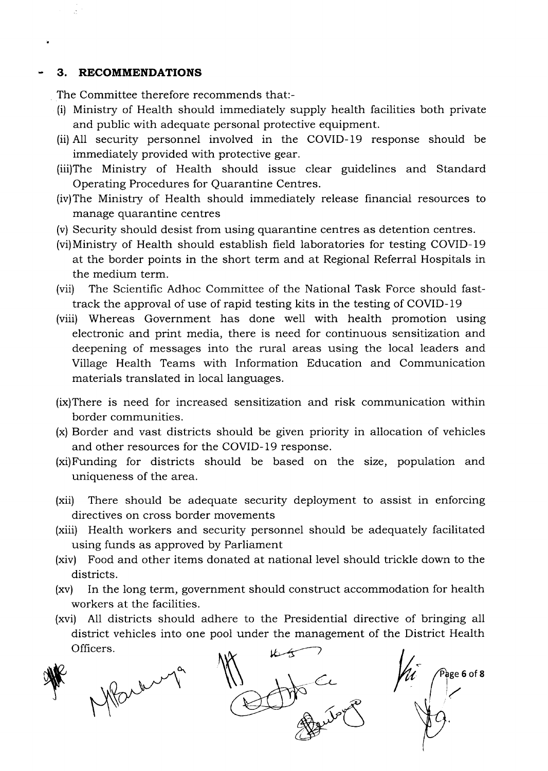#### 3. RECOMMENDATIONS

The Committee therefore recommends that:-

- (i) Ministry of Health should immediately supply health facilities both private and public with adequate personal protective equipment.
- (ii) All security personnel involved in the COVID-l9 response should be immediately provided with protective gear.
- (iii)The Ministry of Health should issue clear guidelines and Standard Operating Procedures for Quarantine Centres.
- (iv)The Ministry of Health should immediately release financial resources to manage quarantine centres
- (v) Security should desist from using quarantine centres as detention centres.
- (vi)Ministry of Health should establish field laboratories for testing COVID-19 at the border points in the short term and at Regional Referral Hospitals in the medium term.
- (vii) The Scientific Adhoc Committee of the National Task Porce should fasttrack the approval of use of rapid testing kits in the testing of COVID- 19
- (viii) Whereas Government has done well with health promotion using electronic and print media, there is need for continuous sensitization and deepening of messages into the rural areas using the local leaders and Village Health Teams with Information Education and Communication materials translated in local languages.
- (ix)There is need for increased sensitization and risk communication within border communities.
- (x) Border and vast districts should be given priority in allocation of vehicles and other resources for the COVID- 19 response.
- (xi)Funding for districts should be based on the size, population and uniqueness of the area.
- (xii) There should be adequate security deployment to assist in enforcing directives on cross border movements
- (xiii) Health workers and security personnel should be adequately facilitated using funds as approved by Parliament
- (xiv) Food and other items donated at national level should trickle down to the districts.
- (xv) In the long term, government should construct accommodation for health workers at the facilities.
- (xvi) A11 districts should adhere to the Presidential directive of bringing all district vehicles into one pool under the management of the District Health Officers.



 $\pi$  to  $\pi$  the ce  $\int_{1}^{\infty}$  $k$ f

 $\int_{0}^{\text{Page 6 of 8}}$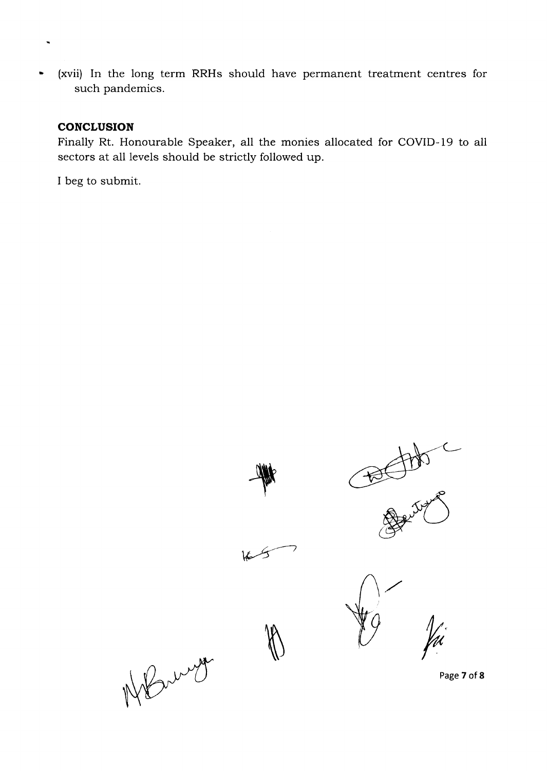(xvii) In the long term RRHs should have permanent treatment centres for such pandemics.

#### **CONCLUSION**

Finally Rt. Honourable Speaker, all the monies allocated for COVID-l9 to all sectors at all levels should be strictly followed up.

I beg to submit.

British R **ry the decision of the decision of the decision of the decision of the decision of the decision of the decision of the decision of the decision of the decision of the decision of the decision of the decision of the decisi** Yù. h NBring

Page 7 of 8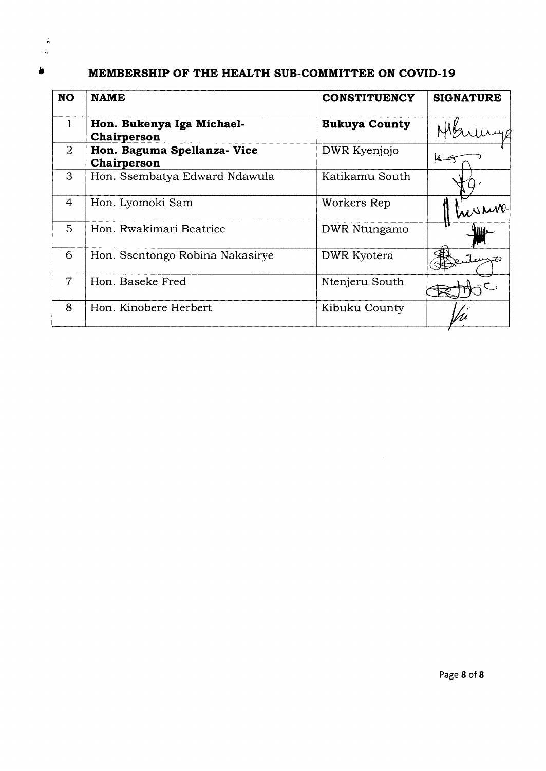# <sup>#</sup> MEMBERSHIP OF THE HEALTH SUB-COMMITTEE ON COVID-19

| <b>NO</b>      | <b>NAME</b>                                | <b>CONSTITUENCY</b>  | <b>SIGNATURE</b> |
|----------------|--------------------------------------------|----------------------|------------------|
| $\mathbf{1}$   | Hon. Bukenya Iga Michael-<br>Chairperson   | <b>Bukuya County</b> |                  |
| $\overline{2}$ | Hon. Baguma Spellanza- Vice<br>Chairperson | DWR Kyenjojo         |                  |
| 3              | Hon. Ssembatya Edward Ndawula              | Katikamu South       |                  |
| 4              | Hon. Lyomoki Sam                           | Workers Rep          | nesure.          |
| 5              | Hon. Rwakimari Beatrice                    | DWR Ntungamo         | illis            |
| 6              | Hon. Ssentongo Robina Nakasirye            | DWR Kyotera          |                  |
| $\overline{7}$ | Hon. Baseke Fred                           | Ntenjeru South       |                  |
| 8              | Hon. Kinobere Herbert                      | Kibuku County        |                  |

 $\frac{1}{2}$  $\hat{\mathbf{v}}_t$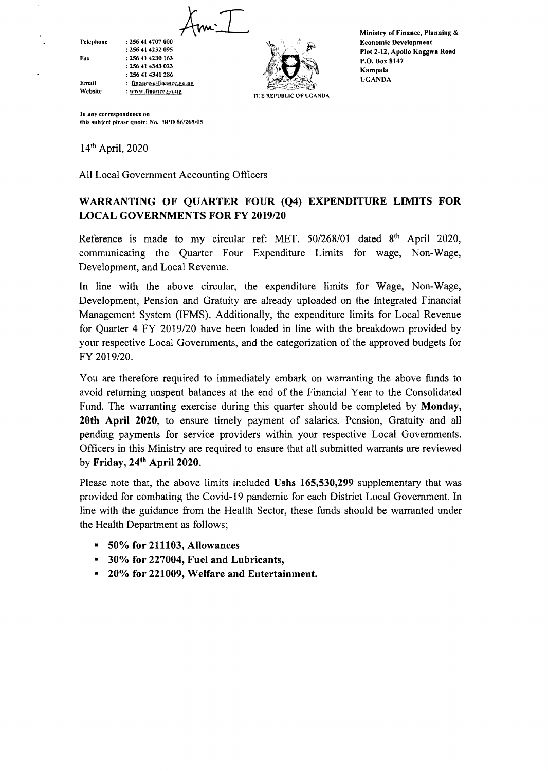$Am.\top$ Fax **Telephone** Email Website : 256 41 4707 000 | 256 41 4232 o95 t 256 41 423O 163 :256 41 4143 023 :256 41 4341 286 : finance@finance.go.ue : www.finance.go.ug



Ministry of Financc, Planning & Economic Dcvclopment Plot 2-12, Apollo Kaggwa Road P.O. Box 8147 Kampala UCANDA

lu any correspondence on this subject please quote: No. BPD 86/268/05

l4th April, 2020

All Local Government Accounting Officers

## WARRANTING OF QUARTER FOUR (Q4) EXPENDITURE LIMITS FOR LOCAL GOVERNMENTS FOR FY 2019/20

Reference is made to my circular ref: MET. 50/268/01 dated 8<sup>th</sup> April 2020, communicating the Quarter Four Expenditure Limits for wage, Non-Wage, Development, and Local Revenue.

In line with the above circular, the expenditure limits for Wage, Non-Wage, Development, Pension and Gratuity are already uploaded on the Integrated Financial Management System (IFMS). Additionally, the expenditure limits for Local Revenue for Quarter 4 FY 2019/20 have been loaded in line with the breakdown provided by your respective Local Governments, and the categorization of the approved budgets for FY 2019/20.

You are therefore required to immediately embark on warranting the above funds to avoid retuming unspent balances at the end of the Financial Year to the Consolidated Fund. The warranting exercise during this quarter should be completed by Monday, 20th April 2020, to ensure timely payment of salarics, Pension, Gratuity and all pending payments for service providers within your respective Local Govemments. Officers in this Ministry are required to ensure that all submitted warrants are reviewed by Friday,  $24<sup>th</sup>$  April 2020.

Please note that, the above limits included Ushs 165,530,299 supplementary that was provided for combating the Covid-19 pandemic for each District Local Government. In line with the guidance from the Health Sector, these funds should be warranted under the Health Department as follows;

- $= 50\%$  for 211103, Allowances
- <sup>9</sup> 30% for 227004, Fuel and Lubricants,
- \* 20% for 221009, Welfare and Entertainment.